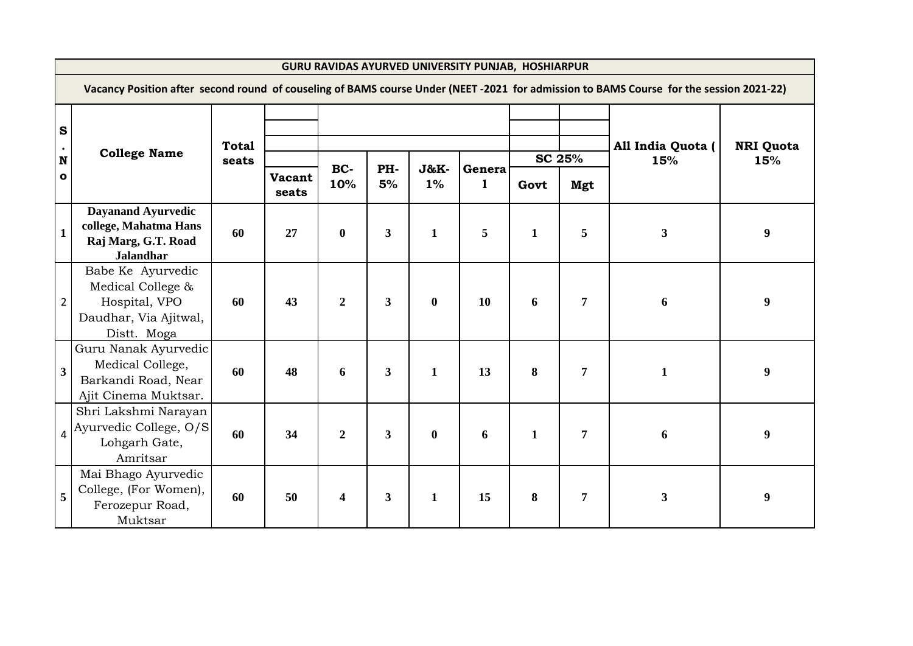|                                                          | <b>GURU RAVIDAS AYURVED UNIVERSITY PUNJAB, HOSHIARPUR</b>                                                                               |                       |                        |                         |                         |              |             |                     |               |                          |                         |  |  |  |  |
|----------------------------------------------------------|-----------------------------------------------------------------------------------------------------------------------------------------|-----------------------|------------------------|-------------------------|-------------------------|--------------|-------------|---------------------|---------------|--------------------------|-------------------------|--|--|--|--|
|                                                          | Vacancy Position after second round of couseling of BAMS course Under (NEET -2021 for admission to BAMS Course for the session 2021-22) |                       |                        |                         |                         |              |             |                     |               |                          |                         |  |  |  |  |
| $\mathbf{s}$<br>$\bullet$<br>$\mathbf N$<br>$\mathbf{o}$ | <b>College Name</b>                                                                                                                     | <b>Total</b><br>seats | <b>Vacant</b><br>seats | BC-<br>10%              | PH-<br>5%               | J&K-<br>1%   | Genera<br>1 | Govt                | SC 25%<br>Mgt | All India Quota (<br>15% | <b>NRI Quota</b><br>15% |  |  |  |  |
| $\mathbf{1}$                                             | <b>Dayanand Ayurvedic</b><br>college, Mahatma Hans<br>Raj Marg, G.T. Road<br><b>Jalandhar</b>                                           | 60                    | 27                     | $\bf{0}$                | $\overline{\mathbf{3}}$ | $\mathbf{1}$ | 5           | $\mathbf{1}$        | 5             | $\mathbf{3}$             | 9                       |  |  |  |  |
| 2                                                        | Babe Ke Ayurvedic<br>Medical College &<br>Hospital, VPO<br>Daudhar, Via Ajitwal,<br>Distt. Moga                                         | 60                    | 43                     | $\overline{2}$          | 3 <sup>1</sup>          | $\bf{0}$     | 10          | 6                   | 7             | 6                        | 9                       |  |  |  |  |
| 3 <sup>1</sup>                                           | Guru Nanak Ayurvedic<br>Medical College,<br>Barkandi Road, Near<br>Ajit Cinema Muktsar.                                                 | 60                    | 48                     | 6                       | $\mathbf{3}$            | $\mathbf{1}$ | 13          | 8<br>$\overline{7}$ |               | $\mathbf{1}$             | 9                       |  |  |  |  |
| $\overline{a}$                                           | Shri Lakshmi Narayan<br>Ayurvedic College, O/S<br>Lohgarh Gate,<br>Amritsar                                                             | 60                    | 34                     | $\boldsymbol{2}$        | $\mathbf{3}$            | $\bf{0}$     | 6           | $\mathbf{1}$        | 7             | 6                        | 9                       |  |  |  |  |
| 5                                                        | Mai Bhago Ayurvedic<br>College, (For Women),<br>Ferozepur Road,<br>Muktsar                                                              | 60                    | 50                     | $\overline{\mathbf{4}}$ | $\mathbf{3}$            | $\mathbf{1}$ | 15          | 8                   | 7             | 3                        | 9                       |  |  |  |  |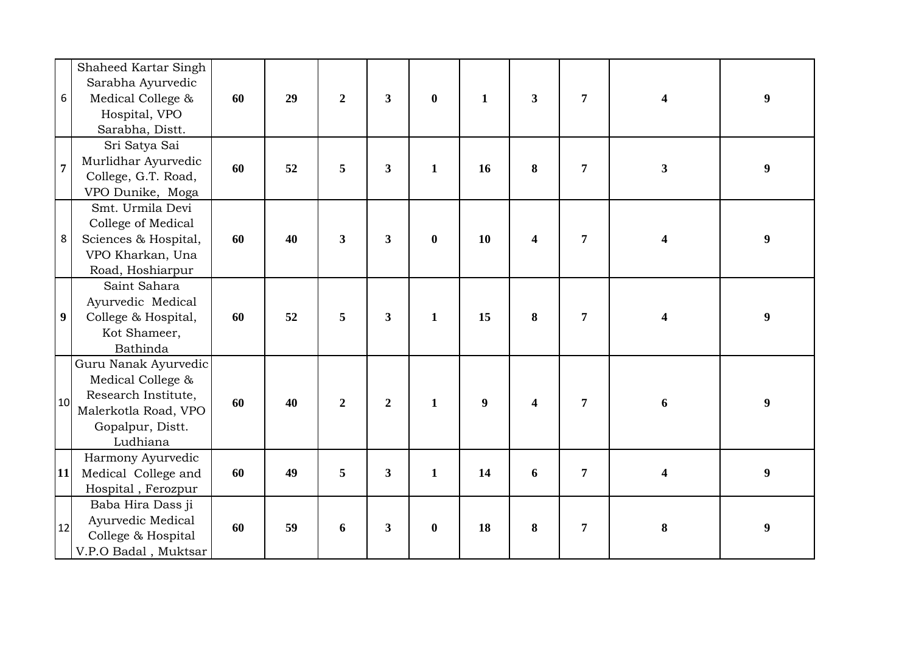| 6                | Shaheed Kartar Singh<br>Sarabha Ayurvedic<br>Medical College &<br>Hospital, VPO<br>Sarabha, Distt.                       | 60 | 29 | $\overline{2}$          | $3^{\circ}$             | $\bf{0}$     | $\mathbf{1}$     | $\overline{\mathbf{3}}$ | $\overline{7}$ | 4                       | 9                |
|------------------|--------------------------------------------------------------------------------------------------------------------------|----|----|-------------------------|-------------------------|--------------|------------------|-------------------------|----------------|-------------------------|------------------|
| $\overline{7}$   | Sri Satya Sai<br>Murlidhar Ayurvedic<br>College, G.T. Road,<br>VPO Dunike, Moga                                          | 60 | 52 | 5                       | $\overline{\mathbf{3}}$ | $\mathbf{1}$ | 16               | 8                       | $\overline{7}$ | $\overline{\mathbf{3}}$ | $\boldsymbol{9}$ |
| 8                | Smt. Urmila Devi<br>College of Medical<br>Sciences & Hospital,<br>VPO Kharkan, Una<br>Road, Hoshiarpur                   | 60 | 40 | $\overline{\mathbf{3}}$ | $3^{\circ}$             | $\bf{0}$     | 10               | $\overline{\mathbf{4}}$ | $\overline{7}$ | 4                       | $\boldsymbol{9}$ |
| $\boldsymbol{9}$ | Saint Sahara<br>Ayurvedic Medical<br>College & Hospital,<br>Kot Shameer,<br>Bathinda                                     | 60 | 52 | 5                       | $3^{\circ}$             | $\mathbf{1}$ | 15               | 8                       | $\overline{7}$ | 4                       | $\boldsymbol{9}$ |
| 10 <sup>1</sup>  | Guru Nanak Ayurvedic<br>Medical College &<br>Research Institute,<br>Malerkotla Road, VPO<br>Gopalpur, Distt.<br>Ludhiana | 60 | 40 | $\boldsymbol{2}$        | $\overline{2}$          | $\mathbf{1}$ | $\boldsymbol{9}$ | 4                       | $\overline{7}$ | 6                       | $\boldsymbol{9}$ |
| 11               | Harmony Ayurvedic<br>Medical College and<br>Hospital, Ferozpur                                                           | 60 | 49 | 5                       | $\mathbf{3}$            | $\mathbf{1}$ | 14               | 6                       | $\overline{7}$ | 4                       | $\boldsymbol{9}$ |
| 12               | Baba Hira Dass ji<br>Ayurvedic Medical<br>College & Hospital<br>V.P.O Badal, Muktsar                                     | 60 | 59 | 6                       | $\mathbf{3}$            | $\bf{0}$     | 18               | 8                       | $\overline{7}$ | 8                       | $\boldsymbol{9}$ |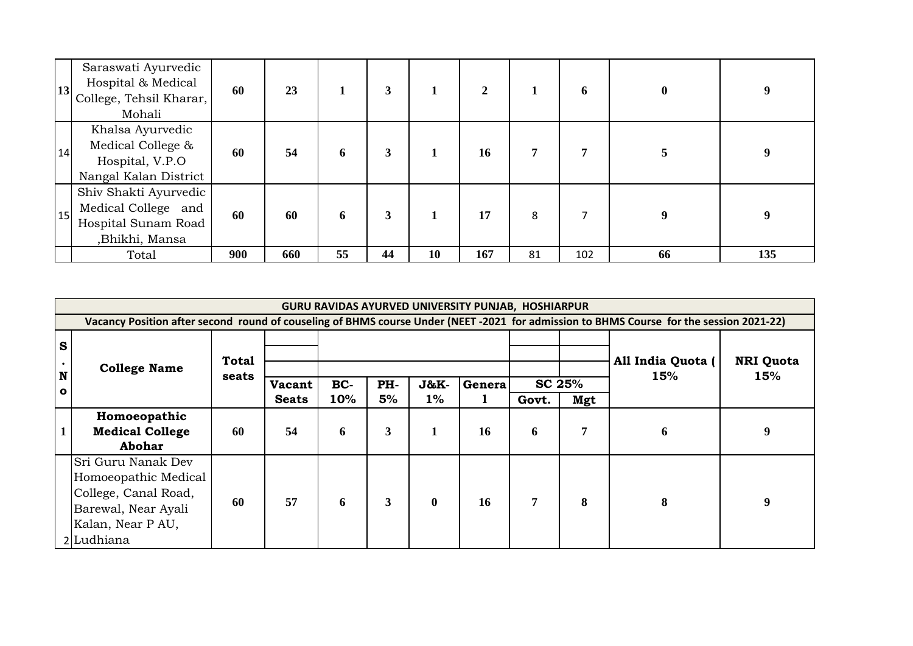|    | Saraswati Ayurvedic<br>Hospital & Medical<br>$\left 13\right $ College, Tehsil Kharar, $\frac{1}{10}$<br>Mohali | 60  | 23  |    | 3  |           | 2   |    | 6   | $\mathbf{0}$ |     |
|----|-----------------------------------------------------------------------------------------------------------------|-----|-----|----|----|-----------|-----|----|-----|--------------|-----|
| 14 | Khalsa Ayurvedic<br>Medical College &<br>Hospital, V.P.O<br>Nangal Kalan District                               | 60  | 54  | 6  | 3  |           | 16  |    | 7   |              |     |
| 15 | Shiv Shakti Ayurvedic<br>Medical College and<br>Hospital Sunam Road<br>,Bhikhi, Mansa                           | 60  | 60  | 6  | 3  |           | 17  | 8  | ⇁   |              |     |
|    | Total                                                                                                           | 900 | 660 | 55 | 44 | <b>10</b> | 167 | 81 | 102 | 66           | 135 |

|                                       | GURU RAVIDAS AYURVED UNIVERSITY PUNJAB, HOSHIARPUR                                                                                      |                       |                        |            |           |               |             |                |               |                          |                         |  |  |  |  |
|---------------------------------------|-----------------------------------------------------------------------------------------------------------------------------------------|-----------------------|------------------------|------------|-----------|---------------|-------------|----------------|---------------|--------------------------|-------------------------|--|--|--|--|
|                                       | Vacancy Position after second round of couseling of BHMS course Under (NEET -2021 for admission to BHMS Course for the session 2021-22) |                       |                        |            |           |               |             |                |               |                          |                         |  |  |  |  |
| $\mathbf{s}$<br>$\bullet$<br>N<br>l o | <b>College Name</b>                                                                                                                     | <b>Total</b><br>seats | Vacant<br><b>Seats</b> | BC-<br>10% | PH-<br>5% | J&K-<br>$1\%$ | Genera<br>1 | Govt.          | SC 25%<br>Mgt | All India Quota (<br>15% | <b>NRI Quota</b><br>15% |  |  |  |  |
| $\mathbf{1}$                          | Homoeopathic<br><b>Medical College</b><br>Abohar                                                                                        | 60                    | 54                     | 6          | 3         | 1             | 16          | 6              | 7             | 6                        | 9                       |  |  |  |  |
|                                       | Sri Guru Nanak Dev<br>Homoeopathic Medical<br>College, Canal Road,<br>Barewal, Near Ayali<br>Kalan, Near P AU,<br>2 Ludhiana            | 60                    | 57                     | 6          | 3         | $\mathbf{0}$  | 16          | $\overline{7}$ | 8             | 8                        | 9                       |  |  |  |  |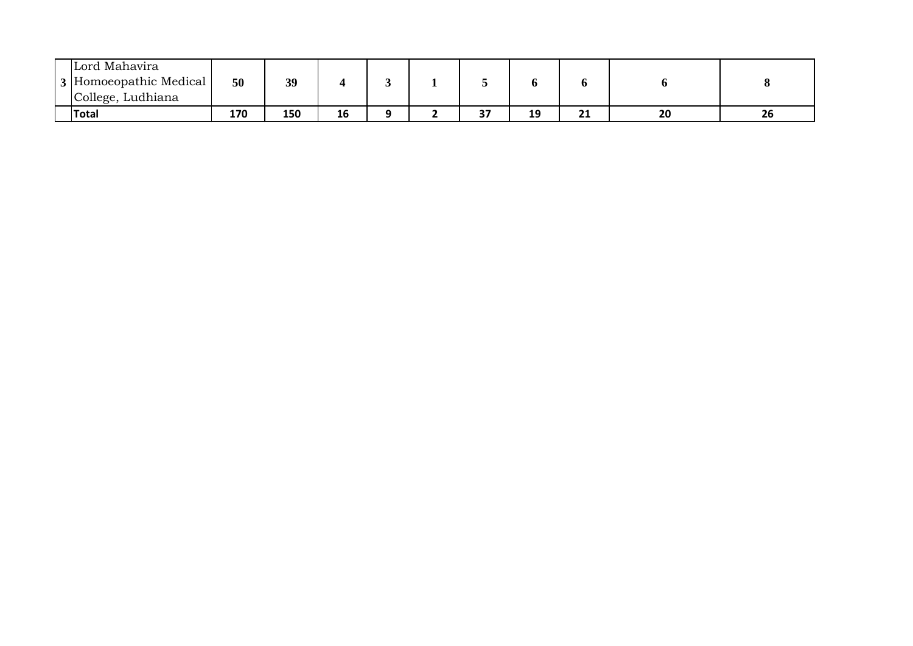| Lord Mahavira<br>3 Homoeopathic Medical<br>College, Ludhiana | 50  | 39  |    |  |    |    |    |    |    |
|--------------------------------------------------------------|-----|-----|----|--|----|----|----|----|----|
| <b>Total</b>                                                 | 170 | 150 | 16 |  | 37 | 19 | 21 | 20 | 26 |